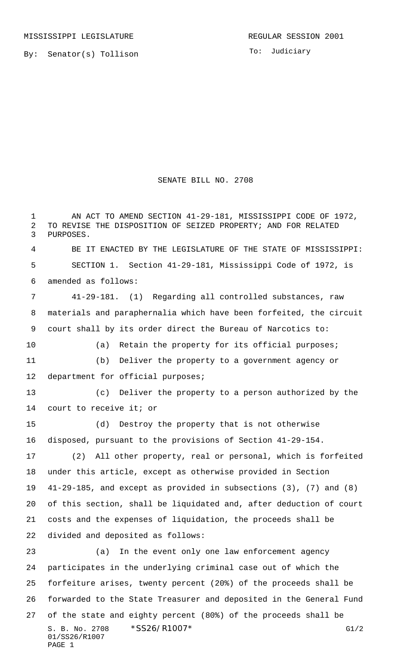By: Senator(s) Tollison

## SENATE BILL NO. 2708

S. B. No. 2708 \* SS26/R1007\* G1/2 01/SS26/R1007 PAGE 1 1 AN ACT TO AMEND SECTION 41-29-181, MISSISSIPPI CODE OF 1972, TO REVISE THE DISPOSITION OF SEIZED PROPERTY; AND FOR RELATED PURPOSES. BE IT ENACTED BY THE LEGISLATURE OF THE STATE OF MISSISSIPPI: SECTION 1. Section 41-29-181, Mississippi Code of 1972, is amended as follows: 41-29-181. (1) Regarding all controlled substances, raw materials and paraphernalia which have been forfeited, the circuit court shall by its order direct the Bureau of Narcotics to: (a) Retain the property for its official purposes; (b) Deliver the property to a government agency or department for official purposes; (c) Deliver the property to a person authorized by the court to receive it; or (d) Destroy the property that is not otherwise disposed, pursuant to the provisions of Section 41-29-154. (2) All other property, real or personal, which is forfeited under this article, except as otherwise provided in Section 41-29-185, and except as provided in subsections (3), (7) and (8) of this section, shall be liquidated and, after deduction of court costs and the expenses of liquidation, the proceeds shall be divided and deposited as follows: (a) In the event only one law enforcement agency participates in the underlying criminal case out of which the forfeiture arises, twenty percent (20%) of the proceeds shall be forwarded to the State Treasurer and deposited in the General Fund of the state and eighty percent (80%) of the proceeds shall be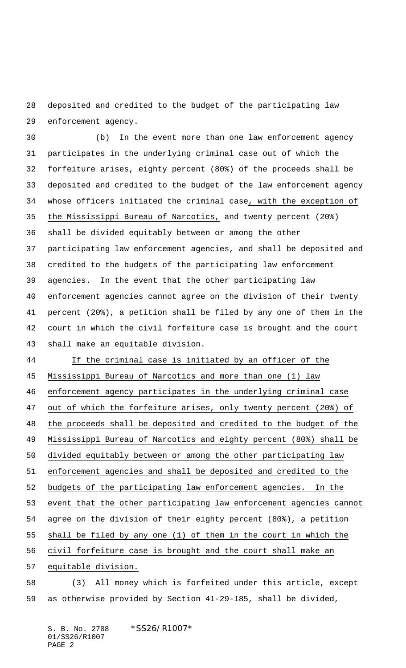deposited and credited to the budget of the participating law enforcement agency.

 (b) In the event more than one law enforcement agency participates in the underlying criminal case out of which the forfeiture arises, eighty percent (80%) of the proceeds shall be deposited and credited to the budget of the law enforcement agency whose officers initiated the criminal case, with the exception of the Mississippi Bureau of Narcotics, and twenty percent (20%) shall be divided equitably between or among the other participating law enforcement agencies, and shall be deposited and credited to the budgets of the participating law enforcement agencies. In the event that the other participating law enforcement agencies cannot agree on the division of their twenty percent (20%), a petition shall be filed by any one of them in the court in which the civil forfeiture case is brought and the court shall make an equitable division.

 If the criminal case is initiated by an officer of the Mississippi Bureau of Narcotics and more than one (1) law enforcement agency participates in the underlying criminal case out of which the forfeiture arises, only twenty percent (20%) of 48 the proceeds shall be deposited and credited to the budget of the Mississippi Bureau of Narcotics and eighty percent (80%) shall be divided equitably between or among the other participating law enforcement agencies and shall be deposited and credited to the budgets of the participating law enforcement agencies. In the event that the other participating law enforcement agencies cannot agree on the division of their eighty percent (80%), a petition shall be filed by any one (1) of them in the court in which the civil forfeiture case is brought and the court shall make an equitable division.

 (3) All money which is forfeited under this article, except as otherwise provided by Section 41-29-185, shall be divided,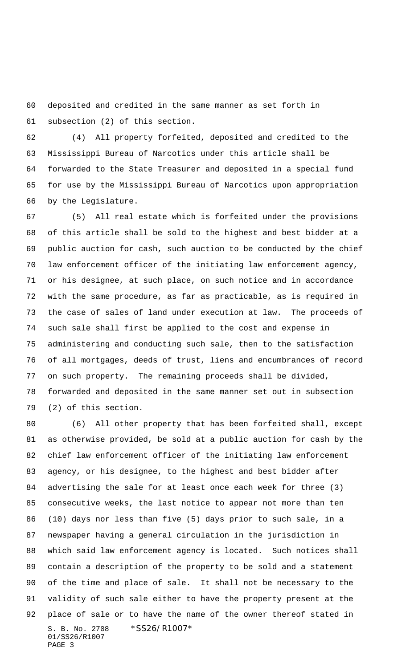deposited and credited in the same manner as set forth in subsection (2) of this section.

 (4) All property forfeited, deposited and credited to the Mississippi Bureau of Narcotics under this article shall be forwarded to the State Treasurer and deposited in a special fund for use by the Mississippi Bureau of Narcotics upon appropriation by the Legislature.

 (5) All real estate which is forfeited under the provisions of this article shall be sold to the highest and best bidder at a public auction for cash, such auction to be conducted by the chief law enforcement officer of the initiating law enforcement agency, or his designee, at such place, on such notice and in accordance with the same procedure, as far as practicable, as is required in the case of sales of land under execution at law. The proceeds of such sale shall first be applied to the cost and expense in administering and conducting such sale, then to the satisfaction of all mortgages, deeds of trust, liens and encumbrances of record on such property. The remaining proceeds shall be divided, forwarded and deposited in the same manner set out in subsection (2) of this section.

S. B. No. 2708 \*SS26/R1007\* 01/SS26/R1007 PAGE 3 (6) All other property that has been forfeited shall, except as otherwise provided, be sold at a public auction for cash by the chief law enforcement officer of the initiating law enforcement agency, or his designee, to the highest and best bidder after advertising the sale for at least once each week for three (3) consecutive weeks, the last notice to appear not more than ten (10) days nor less than five (5) days prior to such sale, in a newspaper having a general circulation in the jurisdiction in which said law enforcement agency is located. Such notices shall contain a description of the property to be sold and a statement of the time and place of sale. It shall not be necessary to the validity of such sale either to have the property present at the place of sale or to have the name of the owner thereof stated in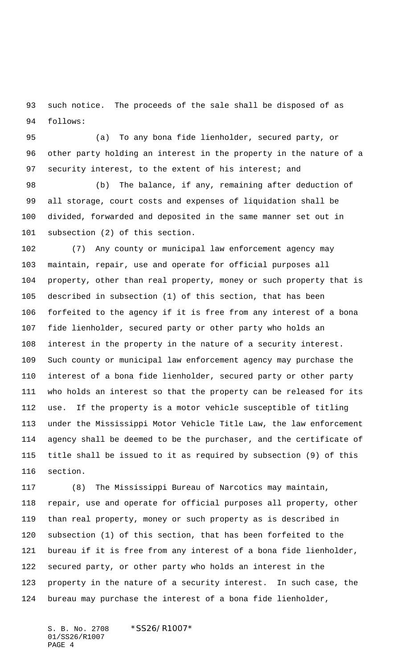such notice. The proceeds of the sale shall be disposed of as follows:

 (a) To any bona fide lienholder, secured party, or other party holding an interest in the property in the nature of a 97 security interest, to the extent of his interest; and

 (b) The balance, if any, remaining after deduction of all storage, court costs and expenses of liquidation shall be divided, forwarded and deposited in the same manner set out in subsection (2) of this section.

 (7) Any county or municipal law enforcement agency may maintain, repair, use and operate for official purposes all property, other than real property, money or such property that is described in subsection (1) of this section, that has been forfeited to the agency if it is free from any interest of a bona fide lienholder, secured party or other party who holds an interest in the property in the nature of a security interest. Such county or municipal law enforcement agency may purchase the interest of a bona fide lienholder, secured party or other party who holds an interest so that the property can be released for its use. If the property is a motor vehicle susceptible of titling under the Mississippi Motor Vehicle Title Law, the law enforcement agency shall be deemed to be the purchaser, and the certificate of title shall be issued to it as required by subsection (9) of this section.

 (8) The Mississippi Bureau of Narcotics may maintain, repair, use and operate for official purposes all property, other than real property, money or such property as is described in subsection (1) of this section, that has been forfeited to the bureau if it is free from any interest of a bona fide lienholder, secured party, or other party who holds an interest in the property in the nature of a security interest. In such case, the bureau may purchase the interest of a bona fide lienholder,

S. B. No. 2708 \*SS26/R1007\* 01/SS26/R1007 PAGE 4